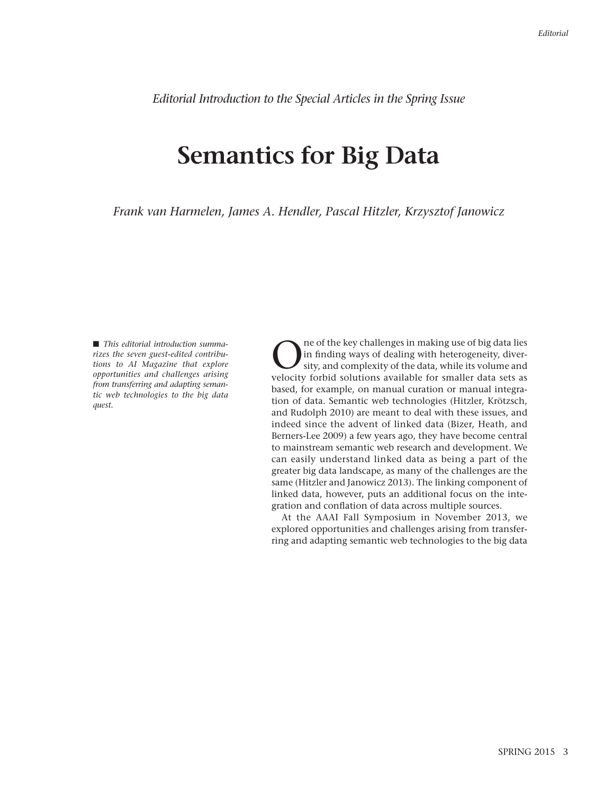*Editorial Introduction to the Special Articles in the Spring Issue*

## **Semantics for Big Data**

*Frank van Harmelen, James A. Hendler, Pascal Hitzler, Krzysztof Janowicz*

■ *This editorial introduction summa rizes the seven guest-edited contributions to AI Magazine that explore opportunities and challenges arising from transferring and adapting semantic web technologies to the big data quest.*

The of the key challenges in making use of big data lies<br>ity, and complexity of the data, while its volume and<br>welocity forbid solutions available for smaller data sets as in finding ways of dealing with heterogeneity, divervelocity forbid solutions available for smaller data sets as based, for example, on manual curation or manual integration of data. Semantic web technologies (Hitzler, Krötzsch, and Rudolph 2010) are meant to deal with these issues, and indeed since the advent of linked data (Bizer, Heath, and Berners-Lee 2009) a few years ago, they have become central to mainstream semantic web research and development. We can easily understand linked data as being a part of the greater big data landscape, as many of the challenges are the same (Hitzler and Janowicz 2013). The linking component of linked data, however, puts an additional focus on the integration and conflation of data across multiple sources.

At the AAAI Fall Symposium in November 2013, we explored opportunities and challenges arising from transferring and adapting semantic web technologies to the big data